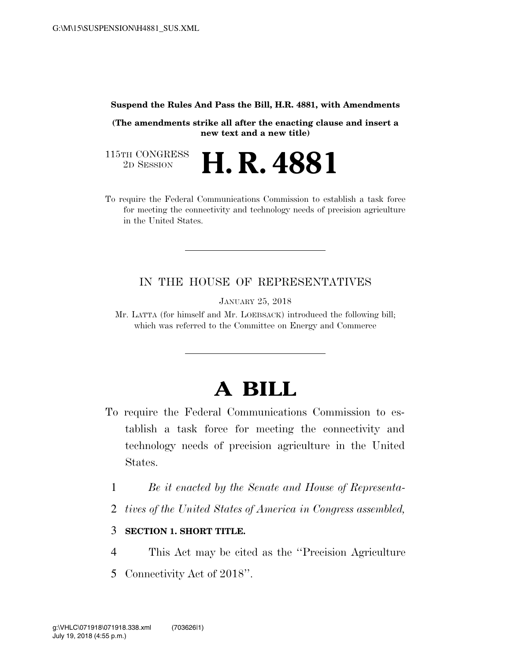#### **Suspend the Rules And Pass the Bill, H.R. 4881, with Amendments**

**(The amendments strike all after the enacting clause and insert a new text and a new title)** 

115TH CONGRESS<br>2D SESSION 2D SESSION **H. R. 4881**

To require the Federal Communications Commission to establish a task force for meeting the connectivity and technology needs of precision agriculture in the United States.

# IN THE HOUSE OF REPRESENTATIVES

JANUARY 25, 2018

Mr. LATTA (for himself and Mr. LOEBSACK) introduced the following bill; which was referred to the Committee on Energy and Commerce

# **A BILL**

- To require the Federal Communications Commission to establish a task force for meeting the connectivity and technology needs of precision agriculture in the United States.
	- 1 *Be it enacted by the Senate and House of Representa-*
	- 2 *tives of the United States of America in Congress assembled,*

### 3 **SECTION 1. SHORT TITLE.**

4 This Act may be cited as the ''Precision Agriculture

5 Connectivity Act of 2018''.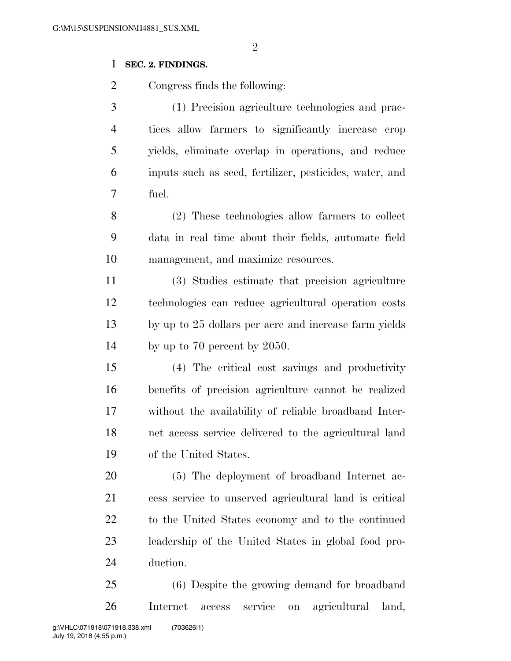# **SEC. 2. FINDINGS.**

Congress finds the following:

 (1) Precision agriculture technologies and prac- tices allow farmers to significantly increase crop yields, eliminate overlap in operations, and reduce inputs such as seed, fertilizer, pesticides, water, and fuel.

 (2) These technologies allow farmers to collect data in real time about their fields, automate field management, and maximize resources.

 (3) Studies estimate that precision agriculture technologies can reduce agricultural operation costs by up to 25 dollars per acre and increase farm yields 14 by up to 70 percent by 2050.

 (4) The critical cost savings and productivity benefits of precision agriculture cannot be realized without the availability of reliable broadband Inter- net access service delivered to the agricultural land of the United States.

 (5) The deployment of broadband Internet ac- cess service to unserved agricultural land is critical to the United States economy and to the continued leadership of the United States in global food pro-duction.

 (6) Despite the growing demand for broadband Internet access service on agricultural land,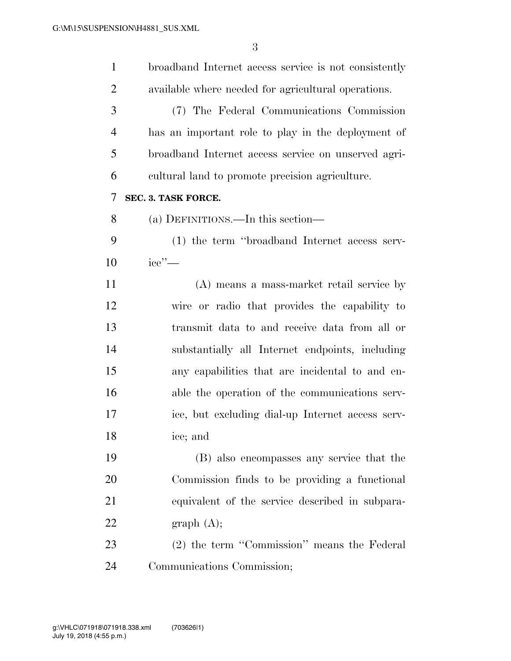| $\mathbf{1}$   | broadband Internet access service is not consistently |
|----------------|-------------------------------------------------------|
| $\overline{2}$ | available where needed for agricultural operations.   |
| 3              | (7) The Federal Communications Commission             |
| $\overline{4}$ | has an important role to play in the deployment of    |
| 5              | broadband Internet access service on unserved agri-   |
| 6              | cultural land to promote precision agriculture.       |
| 7              | SEC. 3. TASK FORCE.                                   |
| 8              | (a) DEFINITIONS.—In this section—                     |
| 9              | (1) the term "broadband Internet access serv-         |
| 10             | $\text{ice}$ " $-$                                    |
| 11             | (A) means a mass-market retail service by             |
| 12             | wire or radio that provides the capability to         |
| 13             | transmit data to and receive data from all or         |
| 14             | substantially all Internet endpoints, including       |
| 15             | any capabilities that are incidental to and en-       |
| 16             | able the operation of the communications serv-        |
| 17             | ice, but excluding dial-up Internet access serv-      |
| 18             | ice; and                                              |
| 19             | (B) also encompasses any service that the             |
| 20             | Commission finds to be providing a functional         |
| 21             | equivalent of the service described in subpara-       |
| 22             | graph(A);                                             |
| 23             | (2) the term "Commission" means the Federal           |
| 24             | Communications Commission;                            |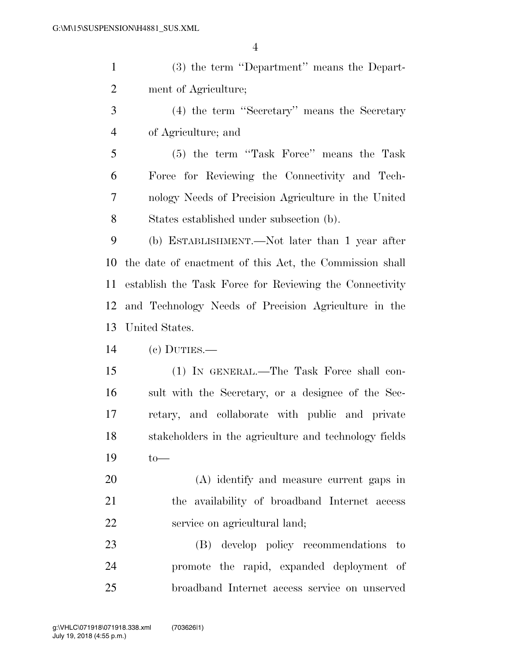| $\mathbf{1}$   | (3) the term "Department" means the Depart-             |
|----------------|---------------------------------------------------------|
| $\overline{2}$ | ment of Agriculture;                                    |
| 3              | (4) the term "Secretary" means the Secretary            |
| $\overline{4}$ | of Agriculture; and                                     |
| 5              | (5) the term "Task Force" means the Task                |
| 6              | Force for Reviewing the Connectivity and Tech-          |
| 7              | nology Needs of Precision Agriculture in the United     |
| 8              | States established under subsection (b).                |
| 9              | (b) ESTABLISHMENT.—Not later than 1 year after          |
| 10             | the date of enactment of this Act, the Commission shall |
| 11             | establish the Task Force for Reviewing the Connectivity |
| 12             | and Technology Needs of Precision Agriculture in the    |
| 13             | United States.                                          |
|                |                                                         |
| 14             | $(e)$ DUTIES.—                                          |
| 15             | (1) IN GENERAL.—The Task Force shall con-               |
| 16             | sult with the Secretary, or a designee of the Sec-      |
| 17             | retary, and collaborate with public and private         |
| 18             | stakeholders in the agriculture and technology fields   |
| 19             | $to-$                                                   |
| 20             | (A) identify and measure current gaps in                |
| 21             | the availability of broadband Internet access           |
| 22             | service on agricultural land;                           |
| 23             | (B) develop policy recommendations<br>to                |

broadband Internet access service on unserved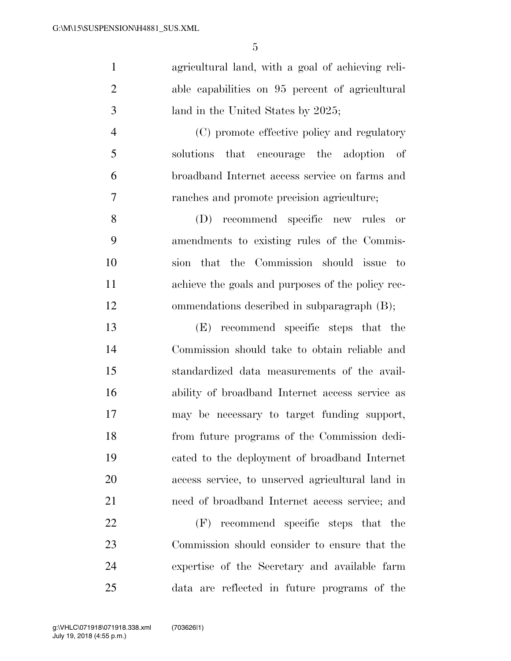agricultural land, with a goal of achieving reli- able capabilities on 95 percent of agricultural 3 land in the United States by 2025; (C) promote effective policy and regulatory

 solutions that encourage the adoption of broadband Internet access service on farms and ranches and promote precision agriculture;

 (D) recommend specific new rules or amendments to existing rules of the Commis- sion that the Commission should issue to achieve the goals and purposes of the policy rec-ommendations described in subparagraph (B);

 (E) recommend specific steps that the Commission should take to obtain reliable and standardized data measurements of the avail- ability of broadband Internet access service as may be necessary to target funding support, from future programs of the Commission dedi- cated to the deployment of broadband Internet access service, to unserved agricultural land in need of broadband Internet access service; and

 (F) recommend specific steps that the Commission should consider to ensure that the expertise of the Secretary and available farm data are reflected in future programs of the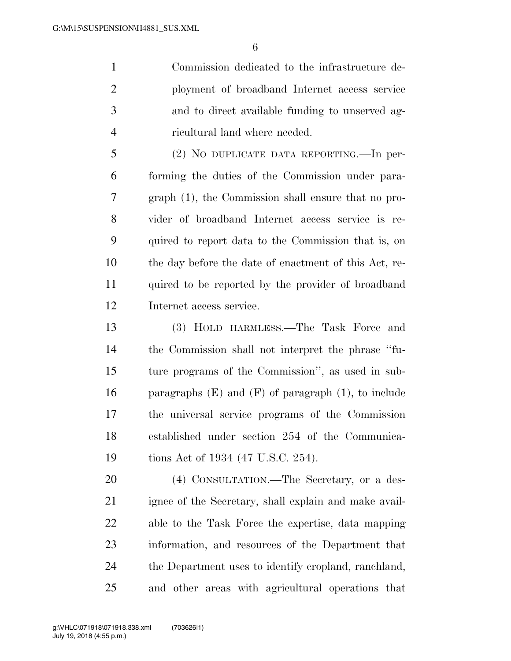Commission dedicated to the infrastructure de- ployment of broadband Internet access service and to direct available funding to unserved ag-ricultural land where needed.

 (2) NO DUPLICATE DATA REPORTING.—In per- forming the duties of the Commission under para- graph (1), the Commission shall ensure that no pro- vider of broadband Internet access service is re- quired to report data to the Commission that is, on the day before the date of enactment of this Act, re- quired to be reported by the provider of broadband Internet access service.

 (3) HOLD HARMLESS.—The Task Force and the Commission shall not interpret the phrase ''fu- ture programs of the Commission'', as used in sub-16 paragraphs  $(E)$  and  $(F)$  of paragraph  $(1)$ , to include the universal service programs of the Commission established under section 254 of the Communica-19 tions Act of 1934 (47 U.S.C. 254).

 (4) CONSULTATION.—The Secretary, or a des- ignee of the Secretary, shall explain and make avail- able to the Task Force the expertise, data mapping information, and resources of the Department that the Department uses to identify cropland, ranchland, and other areas with agricultural operations that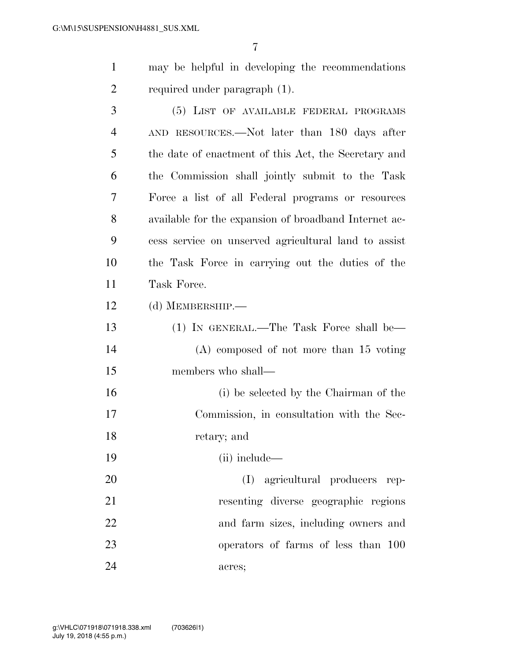- may be helpful in developing the recommendations required under paragraph (1).
- (5) LIST OF AVAILABLE FEDERAL PROGRAMS AND RESOURCES.—Not later than 180 days after the date of enactment of this Act, the Secretary and the Commission shall jointly submit to the Task Force a list of all Federal programs or resources available for the expansion of broadband Internet ac- cess service on unserved agricultural land to assist the Task Force in carrying out the duties of the Task Force.
- (d) MEMBERSHIP.—
- (1) IN GENERAL.—The Task Force shall be— (A) composed of not more than 15 voting members who shall— (i) be selected by the Chairman of the

Commission, in consultation with the Sec-

- retary; and
- (ii) include—
- (I) agricultural producers rep- resenting diverse geographic regions and farm sizes, including owners and operators of farms of less than 100 acres;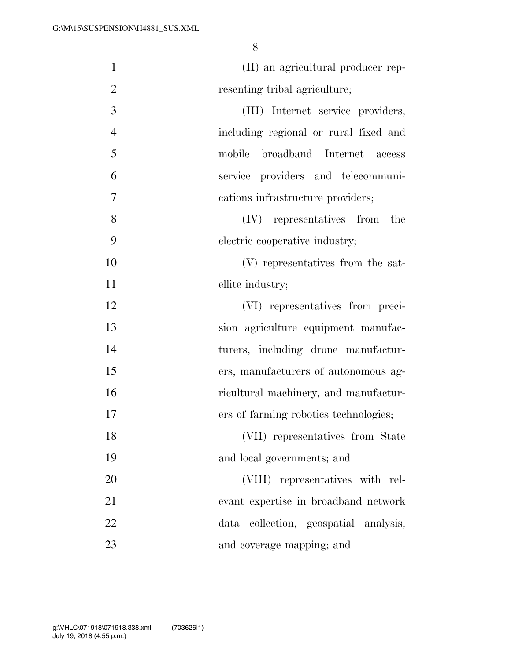| $\mathbf{1}$   | (II) an agricultural producer rep-    |
|----------------|---------------------------------------|
| $\overline{2}$ | resenting tribal agriculture;         |
| 3              | (III) Internet service providers,     |
| $\overline{4}$ | including regional or rural fixed and |
| 5              | broadband Internet access<br>mobile   |
| 6              | service providers and telecommuni-    |
| 7              | cations infrastructure providers;     |
| 8              | (IV) representatives from<br>the      |
| 9              | electric cooperative industry;        |
| 10             | (V) representatives from the sat-     |
| 11             | ellite industry;                      |
| 12             | (VI) representatives from preci-      |
| 13             | sion agriculture equipment manufac-   |
| 14             | turers, including drone manufactur-   |
| 15             | ers, manufacturers of autonomous ag-  |
| 16             | ricultural machinery, and manufactur- |
| 17             | ers of farming robotics technologies; |
| 18             | (VII) representatives from State      |
| 19             | and local governments; and            |
| 20             | (VIII) representatives with rel-      |
| 21             | evant expertise in broadband network  |
| 22             | data collection, geospatial analysis, |
| 23             | and coverage mapping; and             |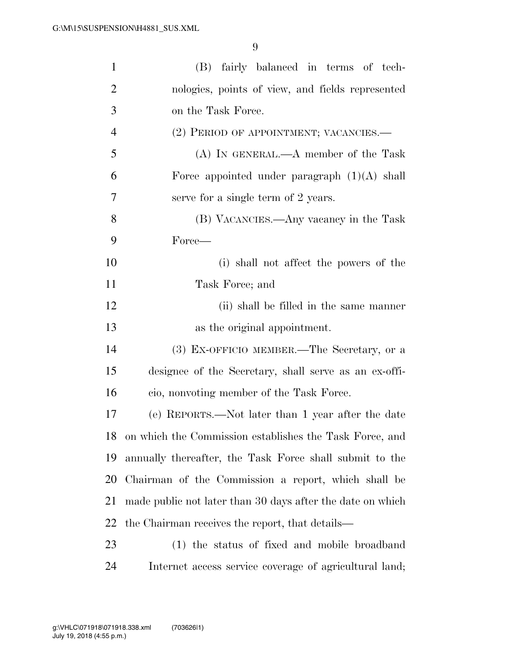| $\mathbf{1}$   | (B)<br>fairly balanced in terms of tech-                   |
|----------------|------------------------------------------------------------|
| $\overline{c}$ | nologies, points of view, and fields represented           |
| 3              | on the Task Force.                                         |
| $\overline{4}$ | (2) PERIOD OF APPOINTMENT; VACANCIES.—                     |
| 5              | $(A)$ In GENERAL.— $A$ member of the Task                  |
| 6              | Force appointed under paragraph $(1)(A)$ shall             |
| 7              | serve for a single term of 2 years.                        |
| 8              | (B) VACANCIES.—Any vacancy in the Task                     |
| 9              | Force—                                                     |
| 10             | (i) shall not affect the powers of the                     |
| 11             | Task Force; and                                            |
| 12             | (ii) shall be filled in the same manner                    |
| 13             | as the original appointment.                               |
| 14             | (3) EX-OFFICIO MEMBER.—The Secretary, or a                 |
| 15             | designee of the Secretary, shall serve as an ex-offi-      |
| 16             | cio, nonvoting member of the Task Force.                   |
| 17             | (e) REPORTS.—Not later than 1 year after the date          |
| 18             | on which the Commission establishes the Task Force, and    |
| 19             | annually thereafter, the Task Force shall submit to the    |
| 20             | Chairman of the Commission a report, which shall be        |
| 21             | made public not later than 30 days after the date on which |
| 22             | the Chairman receives the report, that details—            |
| 23             | (1) the status of fixed and mobile broadband               |
| 24             | Internet access service coverage of agricultural land;     |